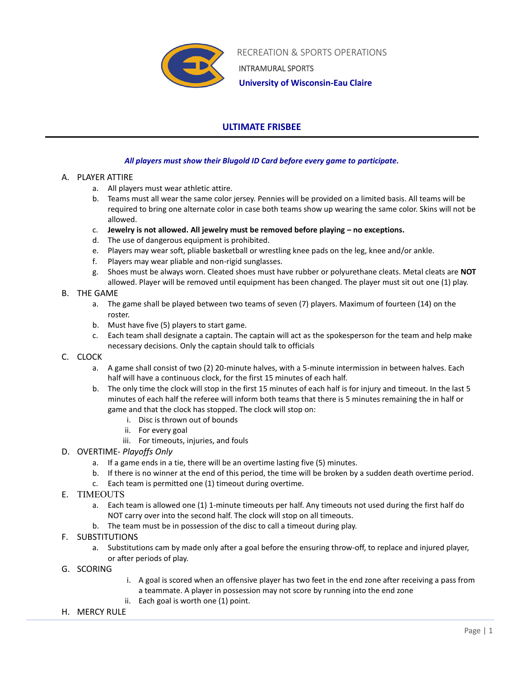

 RECREATION & SPORTS OPERATIONS INTRAMURAL SPORTS

 **University of Wisconsin-Eau Claire**

# **ULTIMATE FRISBEE**

# *All players must show their Blugold ID Card before every game to participate.*

# A. PLAYER ATTIRE

- a. All players must wear athletic attire.
- b. Teams must all wear the same color jersey. Pennies will be provided on a limited basis. All teams will be required to bring one alternate color in case both teams show up wearing the same color. Skins will not be allowed.
- c. **Jewelry is not allowed. All jewelry must be removed before playing – no exceptions.**
- d. The use of dangerous equipment is prohibited.
- e. Players may wear soft, pliable basketball or wrestling knee pads on the leg, knee and/or ankle.
- f. Players may wear pliable and non-rigid sunglasses.
- g. Shoes must be always worn. Cleated shoes must have rubber or polyurethane cleats. Metal cleats are **NOT** allowed. Player will be removed until equipment has been changed. The player must sit out one (1) play.

# B. THE GAME

- a. The game shall be played between two teams of seven (7) players. Maximum of fourteen (14) on the roster.
- b. Must have five (5) players to start game.
- c. Each team shall designate a captain. The captain will act as the spokesperson for the team and help make necessary decisions. Only the captain should talk to officials

## C. CLOCK

- a. A game shall consist of two (2) 20-minute halves, with a 5-minute intermission in between halves. Each half will have a continuous clock, for the first 15 minutes of each half.
- b. The only time the clock will stop in the first 15 minutes of each half is for injury and timeout. In the last 5 minutes of each half the referee will inform both teams that there is 5 minutes remaining the in half or game and that the clock has stopped. The clock will stop on:
	- i. Disc is thrown out of bounds
	- ii. For every goal
	- iii. For timeouts, injuries, and fouls
- D. OVERTIME- *Playoffs Only*
	- a. If a game ends in a tie, there will be an overtime lasting five (5) minutes.
	- b. If there is no winner at the end of this period, the time will be broken by a sudden death overtime period.
	- c. Each team is permitted one (1) timeout during overtime.
- E. TIMEOUTS
	- a. Each team is allowed one (1) 1-minute timeouts per half. Any timeouts not used during the first half do NOT carry over into the second half. The clock will stop on all timeouts.
	- b. The team must be in possession of the disc to call a timeout during play.
- F. SUBSTITUTIONS
	- a. Substitutions cam by made only after a goal before the ensuring throw-off, to replace and injured player, or after periods of play.
- G. SCORING
- i. A goal is scored when an offensive player has two feet in the end zone after receiving a pass from a teammate. A player in possession may not score by running into the end zone
- ii. Each goal is worth one (1) point.
- H. MERCY RULE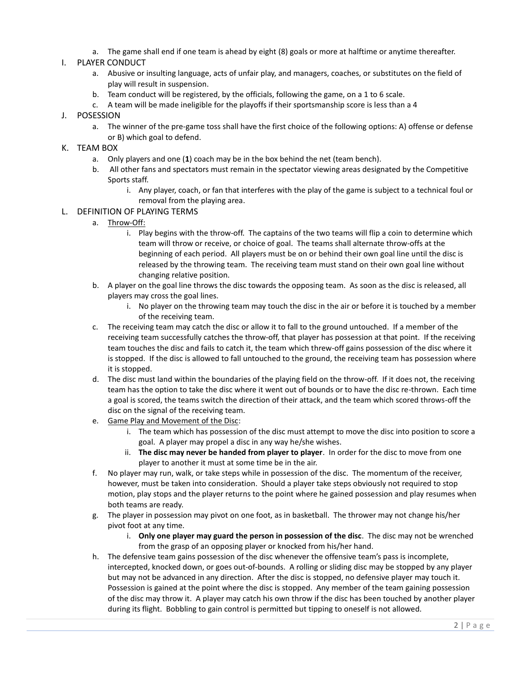a. The game shall end if one team is ahead by eight (8) goals or more at halftime or anytime thereafter.

## I. PLAYER CONDUCT

- a. Abusive or insulting language, acts of unfair play, and managers, coaches, or substitutes on the field of play will result in suspension.
- b. Team conduct will be registered, by the officials, following the game, on a 1 to 6 scale.
- c. A team will be made ineligible for the playoffs if their sportsmanship score is less than a 4
- J. POSESSION
	- a. The winner of the pre-game toss shall have the first choice of the following options: A) offense or defense or B) which goal to defend.

## K. TEAM BOX

- a. Only players and one (**1**) coach may be in the box behind the net (team bench).
- b. All other fans and spectators must remain in the spectator viewing areas designated by the Competitive Sports staff.
	- i. Any player, coach, or fan that interferes with the play of the game is subject to a technical foul or removal from the playing area.
- L. DEFINITION OF PLAYING TERMS
	- a. Throw-Off:
		- i. Play begins with the throw-off. The captains of the two teams will flip a coin to determine which team will throw or receive, or choice of goal. The teams shall alternate throw-offs at the beginning of each period. All players must be on or behind their own goal line until the disc is released by the throwing team. The receiving team must stand on their own goal line without changing relative position.
	- b. A player on the goal line throws the disc towards the opposing team. As soon as the disc is released, all players may cross the goal lines.
		- i. No player on the throwing team may touch the disc in the air or before it is touched by a member of the receiving team.
	- c. The receiving team may catch the disc or allow it to fall to the ground untouched. If a member of the receiving team successfully catches the throw-off, that player has possession at that point. If the receiving team touches the disc and fails to catch it, the team which threw-off gains possession of the disc where it is stopped. If the disc is allowed to fall untouched to the ground, the receiving team has possession where it is stopped.
	- d. The disc must land within the boundaries of the playing field on the throw-off. If it does not, the receiving team has the option to take the disc where it went out of bounds or to have the disc re-thrown. Each time a goal is scored, the teams switch the direction of their attack, and the team which scored throws-off the disc on the signal of the receiving team.
	- e. Game Play and Movement of the Disc:
		- i. The team which has possession of the disc must attempt to move the disc into position to score a goal. A player may propel a disc in any way he/she wishes.
		- ii. **The disc may never be handed from player to player**. In order for the disc to move from one player to another it must at some time be in the air.
	- f. No player may run, walk, or take steps while in possession of the disc. The momentum of the receiver, however, must be taken into consideration. Should a player take steps obviously not required to stop motion, play stops and the player returns to the point where he gained possession and play resumes when both teams are ready.
	- g. The player in possession may pivot on one foot, as in basketball. The thrower may not change his/her pivot foot at any time.
		- i. **Only one player may guard the person in possession of the disc**. The disc may not be wrenched from the grasp of an opposing player or knocked from his/her hand.
	- h. The defensive team gains possession of the disc whenever the offensive team's pass is incomplete, intercepted, knocked down, or goes out-of-bounds. A rolling or sliding disc may be stopped by any player but may not be advanced in any direction. After the disc is stopped, no defensive player may touch it. Possession is gained at the point where the disc is stopped. Any member of the team gaining possession of the disc may throw it. A player may catch his own throw if the disc has been touched by another player during its flight. Bobbling to gain control is permitted but tipping to oneself is not allowed.